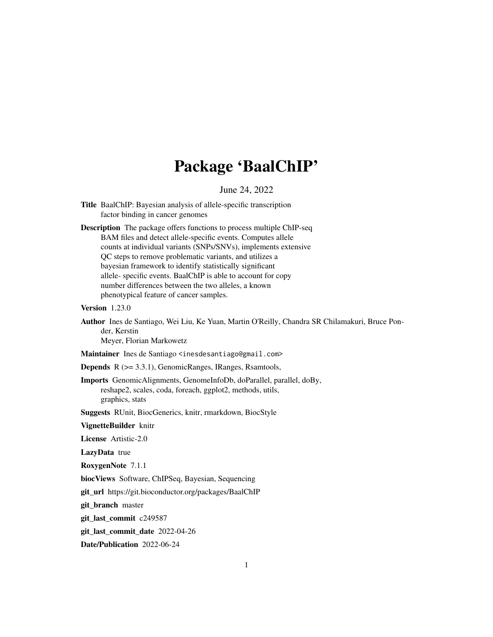# Package 'BaalChIP'

June 24, 2022

- Title BaalChIP: Bayesian analysis of allele-specific transcription factor binding in cancer genomes
- Description The package offers functions to process multiple ChIP-seq BAM files and detect allele-specific events. Computes allele counts at individual variants (SNPs/SNVs), implements extensive QC steps to remove problematic variants, and utilizes a bayesian framework to identify statistically significant allele- specific events. BaalChIP is able to account for copy number differences between the two alleles, a known phenotypical feature of cancer samples.

Version 1.23.0

Author Ines de Santiago, Wei Liu, Ke Yuan, Martin O'Reilly, Chandra SR Chilamakuri, Bruce Ponder, Kerstin

Meyer, Florian Markowetz

Maintainer Ines de Santiago <inesdesantiago@gmail.com>

Depends R (>= 3.3.1), GenomicRanges, IRanges, Rsamtools,

Imports GenomicAlignments, GenomeInfoDb, doParallel, parallel, doBy, reshape2, scales, coda, foreach, ggplot2, methods, utils, graphics, stats

Suggests RUnit, BiocGenerics, knitr, rmarkdown, BiocStyle

VignetteBuilder knitr

License Artistic-2.0

LazyData true

RoxygenNote 7.1.1

biocViews Software, ChIPSeq, Bayesian, Sequencing

git\_url https://git.bioconductor.org/packages/BaalChIP

git\_branch master

git\_last\_commit c249587

git\_last\_commit\_date 2022-04-26

Date/Publication 2022-06-24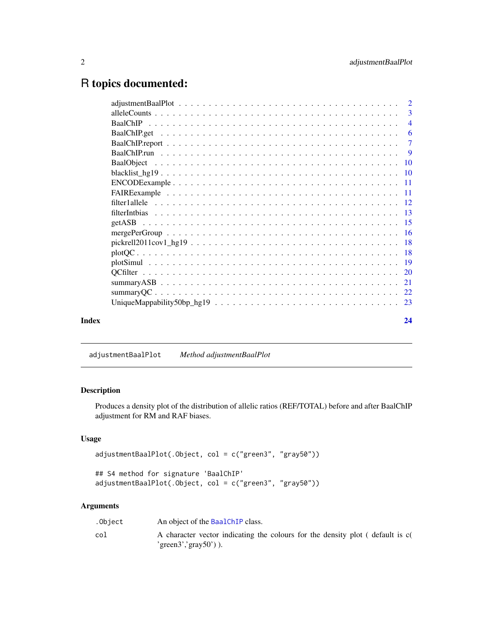# <span id="page-1-0"></span>R topics documented:

| $ENCODE example \ldots \ldots \ldots \ldots \ldots \ldots \ldots \ldots \ldots \ldots \ldots \ldots \ldots 11$<br>$pickrell2011cov1_hg19 18$ |                |
|----------------------------------------------------------------------------------------------------------------------------------------------|----------------|
|                                                                                                                                              | -3             |
|                                                                                                                                              |                |
|                                                                                                                                              |                |
|                                                                                                                                              |                |
|                                                                                                                                              | $\overline{9}$ |
|                                                                                                                                              |                |
|                                                                                                                                              |                |
|                                                                                                                                              |                |
|                                                                                                                                              |                |
|                                                                                                                                              |                |
|                                                                                                                                              |                |
|                                                                                                                                              |                |
|                                                                                                                                              |                |
|                                                                                                                                              |                |
|                                                                                                                                              |                |
|                                                                                                                                              |                |
|                                                                                                                                              |                |
|                                                                                                                                              |                |
|                                                                                                                                              |                |
|                                                                                                                                              |                |
| Index                                                                                                                                        | 24             |

adjustmentBaalPlot *Method adjustmentBaalPlot*

# Description

Produces a density plot of the distribution of allelic ratios (REF/TOTAL) before and after BaalChIP adjustment for RM and RAF biases.

# Usage

```
adjustmentBaalPlot(.Object, col = c("green3", "gray50"))
## S4 method for signature 'BaalChIP'
adjustmentBaalPlot(.Object, col = c("green3", "gray50"))
```
# Arguments

| .Object | An object of the BaalChIP class.                                              |
|---------|-------------------------------------------------------------------------------|
| col     | A character vector indicating the colours for the density plot (default is c( |
|         | 'green3','gray50')).                                                          |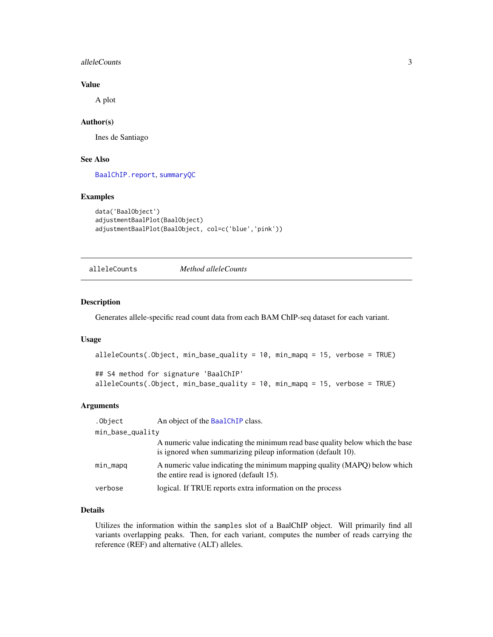#### <span id="page-2-0"></span>alleleCounts 3

# Value

A plot

# Author(s)

Ines de Santiago

# See Also

[BaalChIP.report](#page-6-1), [summaryQC](#page-21-1)

# Examples

```
data('BaalObject')
adjustmentBaalPlot(BaalObject)
adjustmentBaalPlot(BaalObject, col=c('blue','pink'))
```
<span id="page-2-1"></span>alleleCounts *Method alleleCounts*

# Description

Generates allele-specific read count data from each BAM ChIP-seq dataset for each variant.

### Usage

```
alleleCounts(.Object, min_base_quality = 10, min_mapq = 15, verbose = TRUE)
```

```
## S4 method for signature 'BaalChIP'
alleleCounts(.Object, min_base_quality = 10, min_mapq = 15, verbose = TRUE)
```
#### Arguments

| .Object          | An object of the BaalChIP class.                                                                                                              |
|------------------|-----------------------------------------------------------------------------------------------------------------------------------------------|
| min_base_quality |                                                                                                                                               |
|                  | A numeric value indicating the minimum read base quality below which the base<br>is ignored when summarizing pileup information (default 10). |
| min_mapq         | A numeric value indicating the minimum mapping quality (MAPQ) below which<br>the entire read is ignored (default 15).                         |
| verbose          | logical. If TRUE reports extra information on the process                                                                                     |

# Details

Utilizes the information within the samples slot of a BaalChIP object. Will primarily find all variants overlapping peaks. Then, for each variant, computes the number of reads carrying the reference (REF) and alternative (ALT) alleles.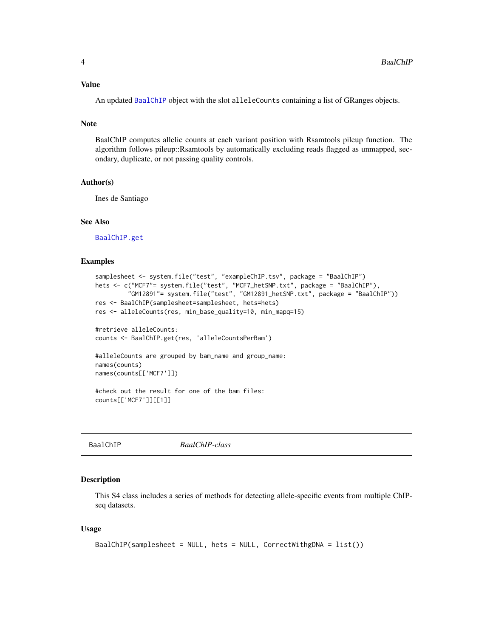#### <span id="page-3-0"></span>Value

An updated [BaalChIP](#page-3-1) object with the slot alleleCounts containing a list of GRanges objects.

# Note

BaalChIP computes allelic counts at each variant position with Rsamtools pileup function. The algorithm follows pileup::Rsamtools by automatically excluding reads flagged as unmapped, secondary, duplicate, or not passing quality controls.

#### Author(s)

Ines de Santiago

# See Also

[BaalChIP.get](#page-5-1)

#### Examples

```
samplesheet <- system.file("test", "exampleChIP.tsv", package = "BaalChIP")
hets <- c("MCF7"= system.file("test", "MCF7_hetSNP.txt", package = "BaalChIP"),
         "GM12891"= system.file("test", "GM12891_hetSNP.txt", package = "BaalChIP"))
res <- BaalChIP(samplesheet=samplesheet, hets=hets)
res <- alleleCounts(res, min_base_quality=10, min_mapq=15)
#retrieve alleleCounts:
counts <- BaalChIP.get(res, 'alleleCountsPerBam')
#alleleCounts are grouped by bam_name and group_name:
names(counts)
names(counts[['MCF7']])
#check out the result for one of the bam files:
counts[['MCF7']][[1]]
```
<span id="page-3-1"></span>BaalChIP *BaalChIP-class*

#### Description

This S4 class includes a series of methods for detecting allele-specific events from multiple ChIPseq datasets.

### Usage

```
BaalChIP(samplesheet = NULL, hets = NULL, CorrectWithgDNA = list())
```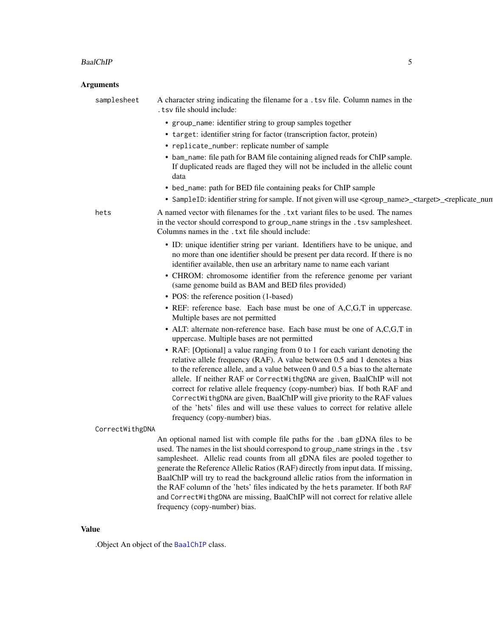### <span id="page-4-0"></span>BaalChIP 5

# Arguments

| samplesheet     | A character string indicating the filename for a .tsv file. Column names in the<br>. tsv file should include:                                                                                                                                                                                                                                                                                                                                                                                                                                                                               |
|-----------------|---------------------------------------------------------------------------------------------------------------------------------------------------------------------------------------------------------------------------------------------------------------------------------------------------------------------------------------------------------------------------------------------------------------------------------------------------------------------------------------------------------------------------------------------------------------------------------------------|
|                 | • group_name: identifier string to group samples together                                                                                                                                                                                                                                                                                                                                                                                                                                                                                                                                   |
|                 | • target: identifier string for factor (transcription factor, protein)                                                                                                                                                                                                                                                                                                                                                                                                                                                                                                                      |
|                 | • replicate_number: replicate number of sample                                                                                                                                                                                                                                                                                                                                                                                                                                                                                                                                              |
|                 | • bam_name: file path for BAM file containing aligned reads for ChIP sample.<br>If duplicated reads are flaged they will not be included in the allelic count<br>data                                                                                                                                                                                                                                                                                                                                                                                                                       |
|                 | • bed_name: path for BED file containing peaks for ChIP sample                                                                                                                                                                                                                                                                                                                                                                                                                                                                                                                              |
|                 | • SampleID: identifier string for sample. If not given will use <group_name>_<target>_<replicate_nun< th=""></replicate_nun<></target></group_name>                                                                                                                                                                                                                                                                                                                                                                                                                                         |
| hets            | A named vector with filenames for the . txt variant files to be used. The names<br>in the vector should correspond to group_name strings in the . tsv samplesheet.<br>Columns names in the . txt file should include:                                                                                                                                                                                                                                                                                                                                                                       |
|                 | • ID: unique identifier string per variant. Identifiers have to be unique, and<br>no more than one identifier should be present per data record. If there is no<br>identifier available, then use an arbritary name to name each variant                                                                                                                                                                                                                                                                                                                                                    |
|                 | • CHROM: chromosome identifier from the reference genome per variant<br>(same genome build as BAM and BED files provided)                                                                                                                                                                                                                                                                                                                                                                                                                                                                   |
|                 | • POS: the reference position (1-based)                                                                                                                                                                                                                                                                                                                                                                                                                                                                                                                                                     |
|                 | • REF: reference base. Each base must be one of A,C,G,T in uppercase.<br>Multiple bases are not permitted                                                                                                                                                                                                                                                                                                                                                                                                                                                                                   |
|                 | • ALT: alternate non-reference base. Each base must be one of A,C,G,T in<br>uppercase. Multiple bases are not permitted                                                                                                                                                                                                                                                                                                                                                                                                                                                                     |
|                 | • RAF: [Optional] a value ranging from 0 to 1 for each variant denoting the<br>relative allele frequency (RAF). A value between 0.5 and 1 denotes a bias<br>to the reference allele, and a value between 0 and 0.5 a bias to the alternate<br>allele. If neither RAF or CorrectWithgDNA are given, BaalChIP will not<br>correct for relative allele frequency (copy-number) bias. If both RAF and<br>CorrectWithgDNA are given, BaalChIP will give priority to the RAF values<br>of the 'hets' files and will use these values to correct for relative allele                               |
|                 | frequency (copy-number) bias.                                                                                                                                                                                                                                                                                                                                                                                                                                                                                                                                                               |
| CorrectWithgDNA | An optional named list with comple file paths for the .bam gDNA files to be<br>used. The names in the list should correspond to group_name strings in the . tsv<br>samplesheet. Allelic read counts from all gDNA files are pooled together to<br>generate the Reference Allelic Ratios (RAF) directly from input data. If missing,<br>BaalChIP will try to read the background allelic ratios from the information in<br>the RAF column of the 'hets' files indicated by the hets parameter. If both RAF<br>and CorrectWithgDNA are missing, BaalChIP will not correct for relative allele |

# Value

.Object An object of the [BaalChIP](#page-3-1) class.

frequency (copy-number) bias.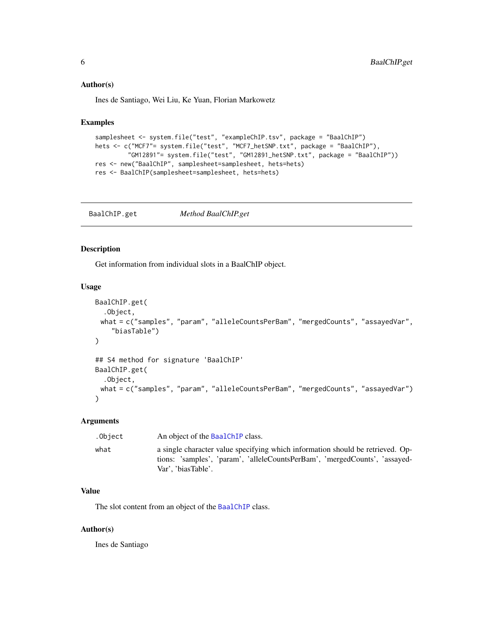#### <span id="page-5-0"></span>Author(s)

Ines de Santiago, Wei Liu, Ke Yuan, Florian Markowetz

# Examples

```
samplesheet <- system.file("test", "exampleChIP.tsv", package = "BaalChIP")
hets <- c("MCF7"= system.file("test", "MCF7_hetSNP.txt", package = "BaalChIP"),
         "GM12891"= system.file("test", "GM12891_hetSNP.txt", package = "BaalChIP"))
res <- new("BaalChIP", samplesheet=samplesheet, hets=hets)
res <- BaalChIP(samplesheet=samplesheet, hets=hets)
```
<span id="page-5-1"></span>BaalChIP.get *Method BaalChIP.get*

# Description

Get information from individual slots in a BaalChIP object.

# Usage

```
BaalChIP.get(
  .Object,
 what = c("samples", "param", "alleleCountsPerBam", "mergedCounts", "assayedVar",
    "biasTable")
)
## S4 method for signature 'BaalChIP'
BaalChIP.get(
  .Object,
 what = c("samples", "param", "alleleCountsPerBam", "mergedCounts", "assayedVar")
\lambda
```
# Arguments

| .Object | An object of the BaalChIP class.                                                                                                                                                   |
|---------|------------------------------------------------------------------------------------------------------------------------------------------------------------------------------------|
| what    | a single character value specifying which information should be retrieved. Op-<br>tions: 'samples', 'param', 'alleleCountsPerBam', 'mergedCounts', 'assayed-<br>Var', 'biasTable'. |

# Value

The slot content from an object of the [BaalChIP](#page-3-1) class.

# Author(s)

Ines de Santiago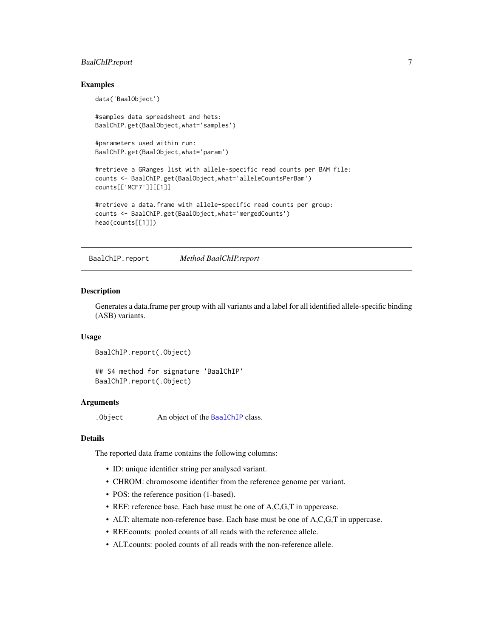# <span id="page-6-0"></span>BaalChIP.report 7

# Examples

```
data('BaalObject')
#samples data spreadsheet and hets:
BaalChIP.get(BaalObject,what='samples')
#parameters used within run:
BaalChIP.get(BaalObject,what='param')
#retrieve a GRanges list with allele-specific read counts per BAM file:
counts <- BaalChIP.get(BaalObject,what='alleleCountsPerBam')
counts[['MCF7']][[1]]
#retrieve a data.frame with allele-specific read counts per group:
counts <- BaalChIP.get(BaalObject,what='mergedCounts')
head(counts[[1]])
```
<span id="page-6-1"></span>BaalChIP.report *Method BaalChIP.report*

# **Description**

Generates a data.frame per group with all variants and a label for all identified allele-specific binding (ASB) variants.

# Usage

```
BaalChIP.report(.Object)
```
## S4 method for signature 'BaalChIP' BaalChIP.report(.Object)

# Arguments

.Object An object of the [BaalChIP](#page-3-1) class.

# Details

The reported data frame contains the following columns:

- ID: unique identifier string per analysed variant.
- CHROM: chromosome identifier from the reference genome per variant.
- POS: the reference position (1-based).
- REF: reference base. Each base must be one of A,C,G,T in uppercase.
- ALT: alternate non-reference base. Each base must be one of A,C,G,T in uppercase.
- REF.counts: pooled counts of all reads with the reference allele.
- ALT.counts: pooled counts of all reads with the non-reference allele.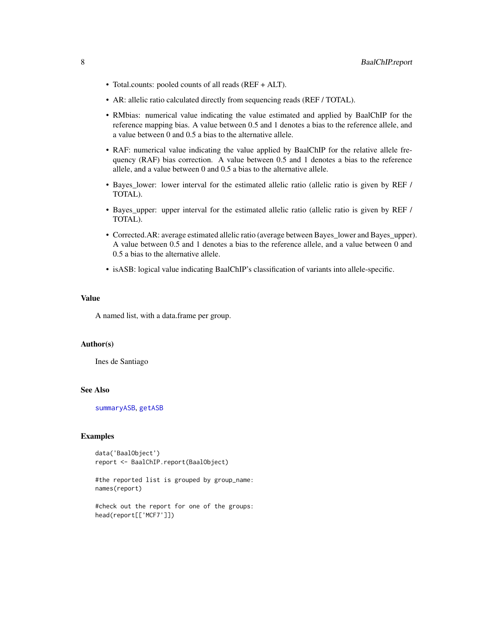- <span id="page-7-0"></span>• Total.counts: pooled counts of all reads (REF + ALT).
- AR: allelic ratio calculated directly from sequencing reads (REF / TOTAL).
- RMbias: numerical value indicating the value estimated and applied by BaalChIP for the reference mapping bias. A value between 0.5 and 1 denotes a bias to the reference allele, and a value between 0 and 0.5 a bias to the alternative allele.
- RAF: numerical value indicating the value applied by BaalChIP for the relative allele frequency (RAF) bias correction. A value between 0.5 and 1 denotes a bias to the reference allele, and a value between 0 and 0.5 a bias to the alternative allele.
- Bayes\_lower: lower interval for the estimated allelic ratio (allelic ratio is given by REF / TOTAL).
- Bayes upper: upper interval for the estimated allelic ratio (allelic ratio is given by REF / TOTAL).
- Corrected.AR: average estimated allelic ratio (average between Bayes\_lower and Bayes\_upper). A value between 0.5 and 1 denotes a bias to the reference allele, and a value between 0 and 0.5 a bias to the alternative allele.
- isASB: logical value indicating BaalChIP's classification of variants into allele-specific.

# Value

A named list, with a data.frame per group.

# Author(s)

Ines de Santiago

#### See Also

[summaryASB](#page-20-1), [getASB](#page-14-1)

#### Examples

```
data('BaalObject')
report <- BaalChIP.report(BaalObject)
```
#the reported list is grouped by group\_name: names(report)

#check out the report for one of the groups: head(report[['MCF7']])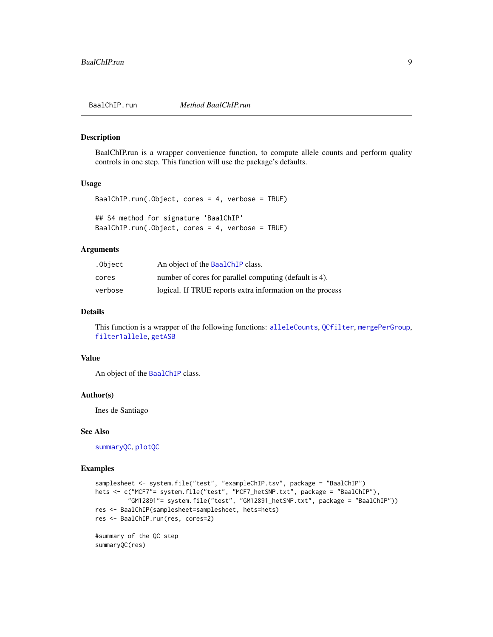<span id="page-8-1"></span><span id="page-8-0"></span>

#### Description

BaalChIP.run is a wrapper convenience function, to compute allele counts and perform quality controls in one step. This function will use the package's defaults.

# Usage

```
BaalChIP.run(.Object, cores = 4, verbose = TRUE)
## S4 method for signature 'BaalChIP'
BaalChIP.run(.Object, cores = 4, verbose = TRUE)
```
#### Arguments

| .Object | An object of the BaalChIP class.                          |
|---------|-----------------------------------------------------------|
| cores   | number of cores for parallel computing (default is 4).    |
| verbose | logical. If TRUE reports extra information on the process |

# Details

This function is a wrapper of the following functions: [alleleCounts](#page-2-1), [QCfilter](#page-19-1), [mergePerGroup](#page-15-1), [filter1allele](#page-11-1), [getASB](#page-14-1)

# Value

An object of the [BaalChIP](#page-3-1) class.

#### Author(s)

Ines de Santiago

# See Also

[summaryQC](#page-21-1), [plotQC](#page-17-1)

#### Examples

```
samplesheet <- system.file("test", "exampleChIP.tsv", package = "BaalChIP")
hets <- c("MCF7"= system.file("test", "MCF7_hetSNP.txt", package = "BaalChIP"),
         "GM12891"= system.file("test", "GM12891_hetSNP.txt", package = "BaalChIP"))
res <- BaalChIP(samplesheet=samplesheet, hets=hets)
res <- BaalChIP.run(res, cores=2)
#summary of the QC step
summaryQC(res)
```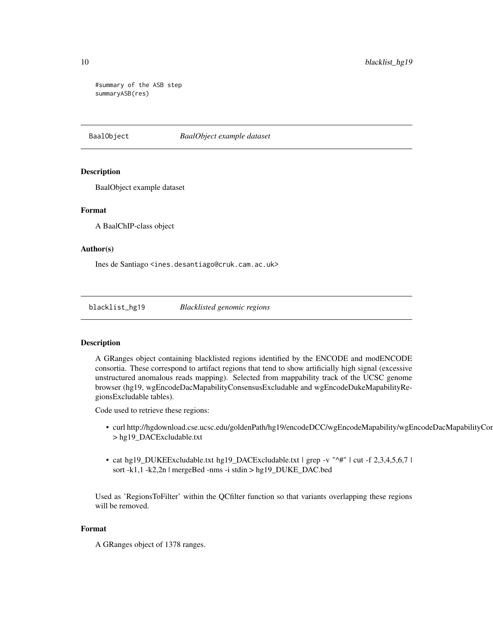#summary of the ASB step summaryASB(res)

BaalObject *BaalObject example dataset*

#### Description

BaalObject example dataset

# Format

A BaalChIP-class object

#### Author(s)

Ines de Santiago <ines.desantiago@cruk.cam.ac.uk>

blacklist\_hg19 *Blacklisted genomic regions*

# Description

A GRanges object containing blacklisted regions identified by the ENCODE and modENCODE consortia. These correspond to artifact regions that tend to show artificially high signal (excessive unstructured anomalous reads mapping). Selected from mappability track of the UCSC genome browser (hg19, wgEncodeDacMapabilityConsensusExcludable and wgEncodeDukeMapabilityRegionsExcludable tables).

Code used to retrieve these regions:

- curl http://hgdownload.cse.ucsc.edu/goldenPath/hg19/encodeDCC/wgEncodeMapability/wgEncodeDacMapabilityConsensus > hg19\_DACExcludable.txt
- cat hg19\_DUKEExcludable.txt hg19\_DACExcludable.txt | grep -v "^#" | cut -f 2,3,4,5,6,7 | sort -k1,1 -k2,2n | mergeBed -nms -i stdin > hg19\_DUKE\_DAC.bed

Used as 'RegionsToFilter' within the QCfilter function so that variants overlapping these regions will be removed.

# Format

A GRanges object of 1378 ranges.

<span id="page-9-0"></span>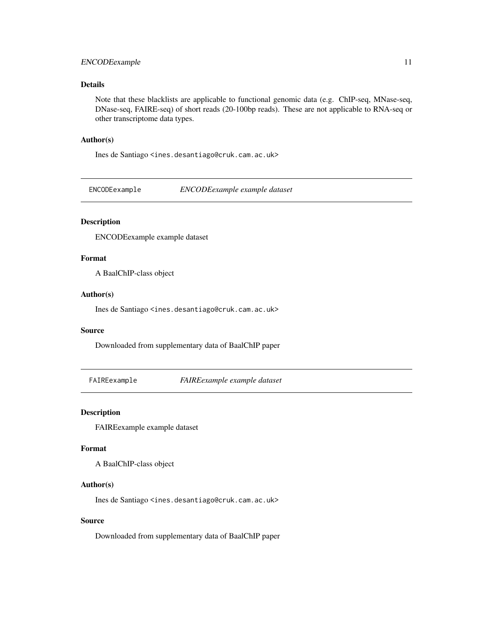# <span id="page-10-0"></span>ENCODEexample 11

# Details

Note that these blacklists are applicable to functional genomic data (e.g. ChIP-seq, MNase-seq, DNase-seq, FAIRE-seq) of short reads (20-100bp reads). These are not applicable to RNA-seq or other transcriptome data types.

#### Author(s)

Ines de Santiago <ines.desantiago@cruk.cam.ac.uk>

ENCODEexample *ENCODEexample example dataset*

# Description

ENCODEexample example dataset

# Format

A BaalChIP-class object

#### Author(s)

Ines de Santiago <ines.desantiago@cruk.cam.ac.uk>

### Source

Downloaded from supplementary data of BaalChIP paper

FAIREexample *FAIREexample example dataset*

# Description

FAIREexample example dataset

# Format

A BaalChIP-class object

#### Author(s)

Ines de Santiago <ines.desantiago@cruk.cam.ac.uk>

# Source

Downloaded from supplementary data of BaalChIP paper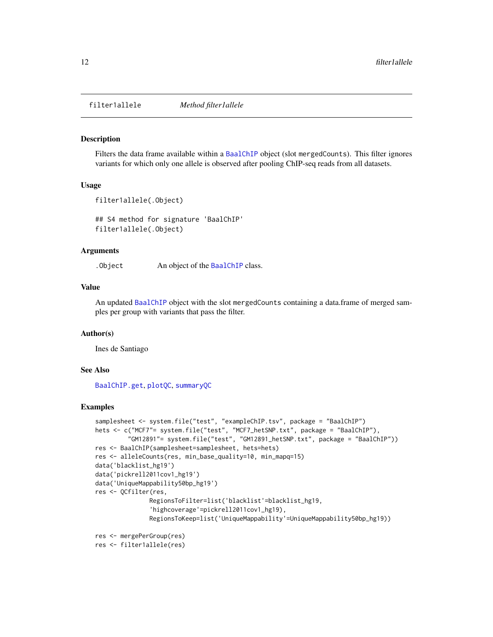<span id="page-11-1"></span><span id="page-11-0"></span>filter1allele *Method filter1allele*

#### Description

Filters the data frame available within a [BaalChIP](#page-3-1) object (slot mergedCounts). This filter ignores variants for which only one allele is observed after pooling ChIP-seq reads from all datasets.

#### Usage

```
filter1allele(.Object)
```
## S4 method for signature 'BaalChIP' filter1allele(.Object)

#### Arguments

. Object An object of the [BaalChIP](#page-3-1) class.

# Value

An updated [BaalChIP](#page-3-1) object with the slot mergedCounts containing a data.frame of merged samples per group with variants that pass the filter.

#### Author(s)

Ines de Santiago

### See Also

[BaalChIP.get](#page-5-1), [plotQC](#page-17-1), [summaryQC](#page-21-1)

#### Examples

```
samplesheet <- system.file("test", "exampleChIP.tsv", package = "BaalChIP")
hets <- c("MCF7"= system.file("test", "MCF7_hetSNP.txt", package = "BaalChIP"),
         "GM12891"= system.file("test", "GM12891_hetSNP.txt", package = "BaalChIP"))
res <- BaalChIP(samplesheet=samplesheet, hets=hets)
res <- alleleCounts(res, min_base_quality=10, min_mapq=15)
data('blacklist_hg19')
data('pickrell2011cov1_hg19')
data('UniqueMappability50bp_hg19')
res <- QCfilter(res,
               RegionsToFilter=list('blacklist'=blacklist_hg19,
               'highcoverage'=pickrell2011cov1_hg19),
               RegionsToKeep=list('UniqueMappability'=UniqueMappability50bp_hg19))
res <- mergePerGroup(res)
```

```
res <- filter1allele(res)
```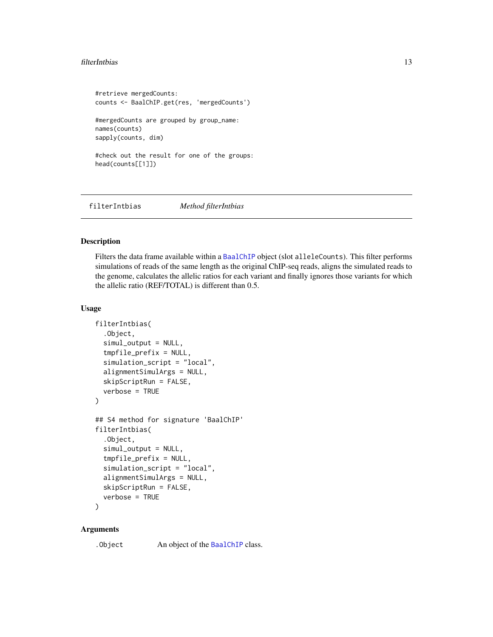#### <span id="page-12-0"></span>filterIntbias 13

```
#retrieve mergedCounts:
counts <- BaalChIP.get(res, 'mergedCounts')
#mergedCounts are grouped by group_name:
names(counts)
sapply(counts, dim)
#check out the result for one of the groups:
head(counts[[1]])
```
filterIntbias *Method filterIntbias*

#### Description

Filters the data frame available within a [BaalChIP](#page-3-1) object (slot alleleCounts). This filter performs simulations of reads of the same length as the original ChIP-seq reads, aligns the simulated reads to the genome, calculates the allelic ratios for each variant and finally ignores those variants for which the allelic ratio (REF/TOTAL) is different than 0.5.

# Usage

```
filterIntbias(
  .Object,
  simul_output = NULL,
  tmpfile_prefix = NULL,
  simulation_script = "local",
  alignmentSimulArgs = NULL,
  skipScriptRun = FALSE,
  verbose = TRUE
)
## S4 method for signature 'BaalChIP'
filterIntbias(
  .Object,
  simul_output = NULL,
  tmpfile_prefix = NULL,
  simulation_script = "local",
  alignmentSimulArgs = NULL,
  skipScriptRun = FALSE,
  verbose = TRUE
```

```
)
```
# **Arguments**

.Object An object of the [BaalChIP](#page-3-1) class.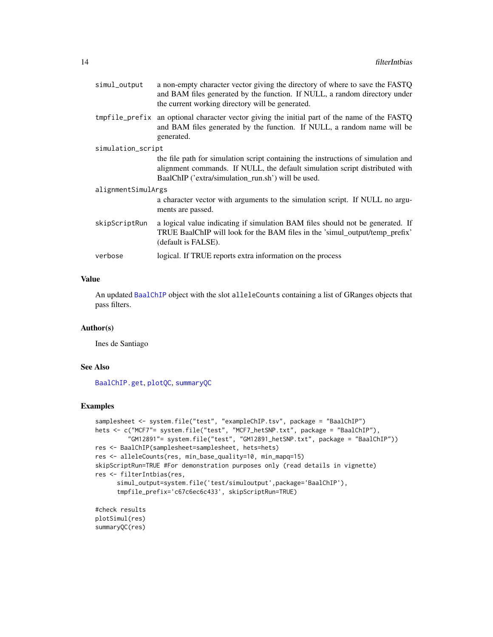<span id="page-13-0"></span>

| simul_output       | a non-empty character vector giving the directory of where to save the FASTQ<br>and BAM files generated by the function. If NULL, a random directory under<br>the current working directory will be generated.         |  |
|--------------------|------------------------------------------------------------------------------------------------------------------------------------------------------------------------------------------------------------------------|--|
|                    | tmpfile_prefix an optional character vector giving the initial part of the name of the FASTQ<br>and BAM files generated by the function. If NULL, a random name will be<br>generated.                                  |  |
| simulation_script  |                                                                                                                                                                                                                        |  |
|                    | the file path for simulation script containing the instructions of simulation and<br>alignment commands. If NULL, the default simulation script distributed with<br>BaalChIP ('extra/simulation_run.sh') will be used. |  |
| alignmentSimulArgs |                                                                                                                                                                                                                        |  |
|                    | a character vector with arguments to the simulation script. If NULL no argu-<br>ments are passed.                                                                                                                      |  |
| skipScriptRun      | a logical value indicating if simulation BAM files should not be generated. If<br>TRUE BaalChIP will look for the BAM files in the 'simul_output/temp_prefix'<br>(default is FALSE).                                   |  |
| verbose            | logical. If TRUE reports extra information on the process                                                                                                                                                              |  |
|                    |                                                                                                                                                                                                                        |  |

# Value

An updated [BaalChIP](#page-3-1) object with the slot alleleCounts containing a list of GRanges objects that pass filters.

# Author(s)

Ines de Santiago

# See Also

[BaalChIP.get](#page-5-1), [plotQC](#page-17-1), [summaryQC](#page-21-1)

# Examples

```
samplesheet <- system.file("test", "exampleChIP.tsv", package = "BaalChIP")
hets <- c("MCF7"= system.file("test", "MCF7_hetSNP.txt", package = "BaalChIP"),
         "GM12891"= system.file("test", "GM12891_hetSNP.txt", package = "BaalChIP"))
res <- BaalChIP(samplesheet=samplesheet, hets=hets)
res <- alleleCounts(res, min_base_quality=10, min_mapq=15)
skipScriptRun=TRUE #For demonstration purposes only (read details in vignette)
res <- filterIntbias(res,
      simul_output=system.file('test/simuloutput',package='BaalChIP'),
      tmpfile_prefix='c67c6ec6c433', skipScriptRun=TRUE)
#check results
plotSimul(res)
```
summaryQC(res)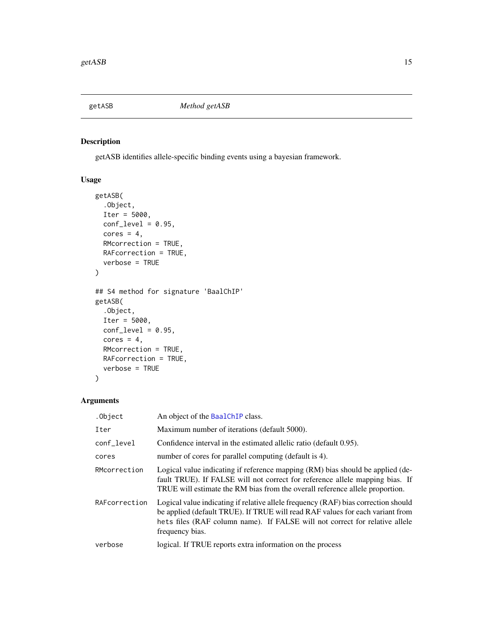<span id="page-14-1"></span><span id="page-14-0"></span>

# Description

getASB identifies allele-specific binding events using a bayesian framework.

# Usage

```
getASB(
  .Object,
  Iter = 5000,
  conf\_level = 0.95,
  cores = 4,RMcorrection = TRUE,
 RAFcorrection = TRUE,
  verbose = TRUE
)
## S4 method for signature 'BaalChIP'
getASB(
  .Object,
  Iter = 5000,
 conf\_level = 0.95,
 cores = 4,
 RMcorrection = TRUE,
 RAFcorrection = TRUE,
  verbose = TRUE
)
```
# Arguments

| .Object       | An object of the BaalChIP class.                                                                                                                                                                                                                                      |
|---------------|-----------------------------------------------------------------------------------------------------------------------------------------------------------------------------------------------------------------------------------------------------------------------|
| Iter          | Maximum number of iterations (default 5000).                                                                                                                                                                                                                          |
| conf_level    | Confidence interval in the estimated allelic ratio (default 0.95).                                                                                                                                                                                                    |
| cores         | number of cores for parallel computing (default is 4).                                                                                                                                                                                                                |
| RMcorrection  | Logical value indicating if reference mapping (RM) bias should be applied (de-<br>fault TRUE). If FALSE will not correct for reference allele mapping bias. If<br>TRUE will estimate the RM bias from the overall reference allele proportion.                        |
| RAFcorrection | Logical value indicating if relative allele frequency (RAF) bias correction should<br>be applied (default TRUE). If TRUE will read RAF values for each variant from<br>hets files (RAF column name). If FALSE will not correct for relative allele<br>frequency bias. |
| verbose       | logical. If TRUE reports extra information on the process                                                                                                                                                                                                             |
|               |                                                                                                                                                                                                                                                                       |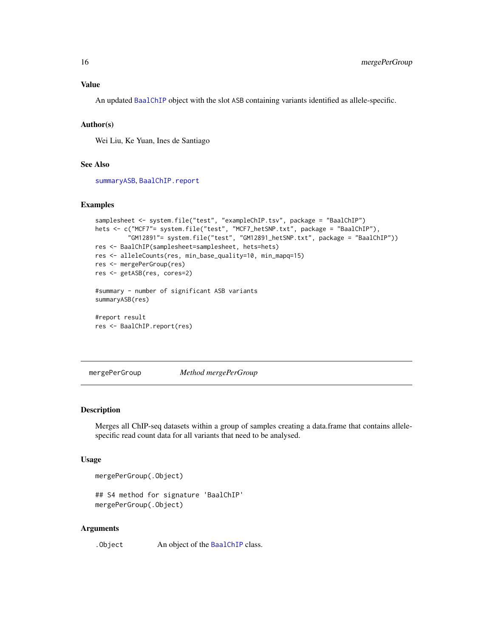# <span id="page-15-0"></span>Value

An updated [BaalChIP](#page-3-1) object with the slot ASB containing variants identified as allele-specific.

#### Author(s)

Wei Liu, Ke Yuan, Ines de Santiago

# See Also

[summaryASB](#page-20-1), [BaalChIP.report](#page-6-1)

### Examples

```
samplesheet <- system.file("test", "exampleChIP.tsv", package = "BaalChIP")
hets <- c("MCF7"= system.file("test", "MCF7_hetSNP.txt", package = "BaalChIP"),
         "GM12891"= system.file("test", "GM12891_hetSNP.txt", package = "BaalChIP"))
res <- BaalChIP(samplesheet=samplesheet, hets=hets)
res <- alleleCounts(res, min_base_quality=10, min_mapq=15)
res <- mergePerGroup(res)
res <- getASB(res, cores=2)
#summary - number of significant ASB variants
summaryASB(res)
#report result
res <- BaalChIP.report(res)
```
<span id="page-15-1"></span>mergePerGroup *Method mergePerGroup*

### Description

Merges all ChIP-seq datasets within a group of samples creating a data.frame that contains allelespecific read count data for all variants that need to be analysed.

# Usage

mergePerGroup(.Object)

```
## S4 method for signature 'BaalChIP'
mergePerGroup(.Object)
```
#### Arguments

. Object An object of the [BaalChIP](#page-3-1) class.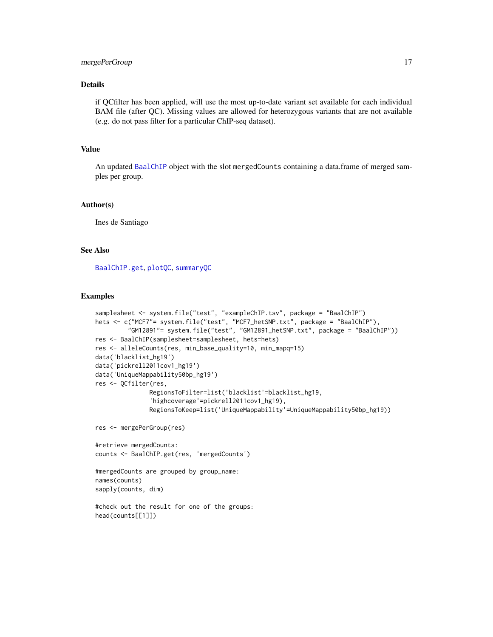# <span id="page-16-0"></span>mergePerGroup 17

# Details

if QCfilter has been applied, will use the most up-to-date variant set available for each individual BAM file (after QC). Missing values are allowed for heterozygous variants that are not available (e.g. do not pass filter for a particular ChIP-seq dataset).

# Value

An updated [BaalChIP](#page-3-1) object with the slot mergedCounts containing a data.frame of merged samples per group.

#### Author(s)

Ines de Santiago

#### See Also

[BaalChIP.get](#page-5-1), [plotQC](#page-17-1), [summaryQC](#page-21-1)

# Examples

```
samplesheet <- system.file("test", "exampleChIP.tsv", package = "BaalChIP")
hets <- c("MCF7"= system.file("test", "MCF7_hetSNP.txt", package = "BaalChIP"),
         "GM12891"= system.file("test", "GM12891_hetSNP.txt", package = "BaalChIP"))
res <- BaalChIP(samplesheet=samplesheet, hets=hets)
res <- alleleCounts(res, min_base_quality=10, min_mapq=15)
data('blacklist_hg19')
data('pickrell2011cov1_hg19')
data('UniqueMappability50bp_hg19')
res <- QCfilter(res,
               RegionsToFilter=list('blacklist'=blacklist_hg19,
               'highcoverage'=pickrell2011cov1_hg19),
               RegionsToKeep=list('UniqueMappability'=UniqueMappability50bp_hg19))
```
res <- mergePerGroup(res)

```
#retrieve mergedCounts:
counts <- BaalChIP.get(res, 'mergedCounts')
```

```
#mergedCounts are grouped by group_name:
names(counts)
sapply(counts, dim)
```

```
#check out the result for one of the groups:
head(counts[[1]])
```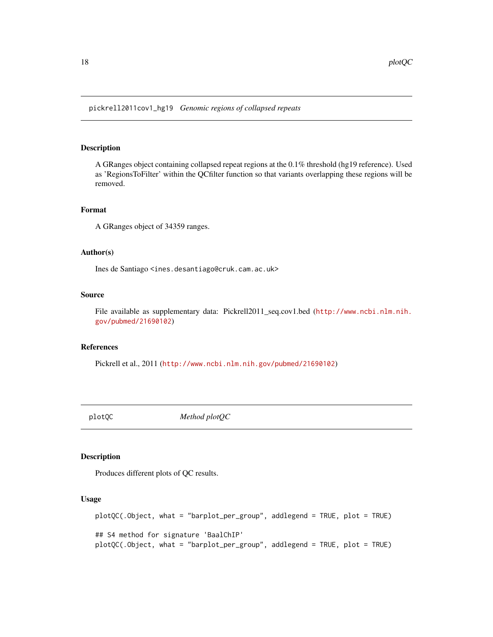<span id="page-17-0"></span>pickrell2011cov1\_hg19 *Genomic regions of collapsed repeats*

#### Description

A GRanges object containing collapsed repeat regions at the 0.1% threshold (hg19 reference). Used as 'RegionsToFilter' within the QCfilter function so that variants overlapping these regions will be removed.

# Format

A GRanges object of 34359 ranges.

#### Author(s)

Ines de Santiago <ines.desantiago@cruk.cam.ac.uk>

#### Source

File available as supplementary data: Pickrell2011\_seq.cov1.bed ([http://www.ncbi.nlm.nih.](http://www.ncbi.nlm.nih.gov/pubmed/21690102) [gov/pubmed/21690102](http://www.ncbi.nlm.nih.gov/pubmed/21690102))

# References

Pickrell et al., 2011 (<http://www.ncbi.nlm.nih.gov/pubmed/21690102>)

<span id="page-17-1"></span>plotQC *Method plotQC*

# Description

Produces different plots of QC results.

# Usage

plotQC(.Object, what = "barplot\_per\_group", addlegend = TRUE, plot = TRUE) ## S4 method for signature 'BaalChIP' plotQC(.Object, what = "barplot\_per\_group", addlegend = TRUE, plot = TRUE)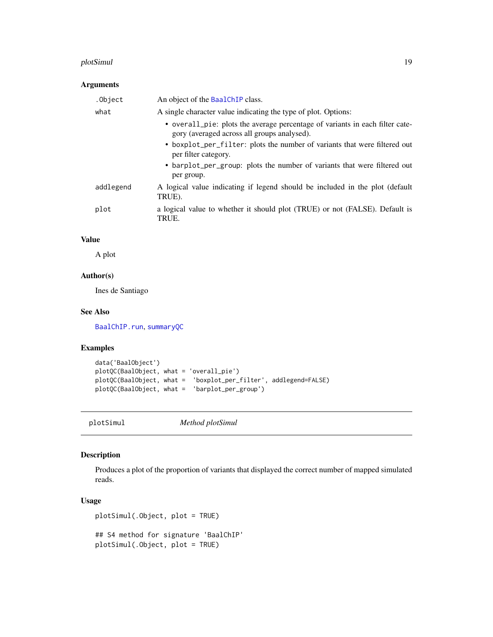#### <span id="page-18-0"></span>plotSimul 19

# Arguments

| .Object   | An object of the BaalChIP class.                                                                                            |
|-----------|-----------------------------------------------------------------------------------------------------------------------------|
| what      | A single character value indicating the type of plot. Options:                                                              |
|           | • overall_pie: plots the average percentage of variants in each filter cate-<br>gory (averaged across all groups analysed). |
|           | • boxplot_per_filter: plots the number of variants that were filtered out<br>per filter category.                           |
|           | • barplot_per_group: plots the number of variants that were filtered out<br>per group.                                      |
| addlegend | A logical value indicating if legend should be included in the plot (default<br>TRUE).                                      |
| plot      | a logical value to whether it should plot (TRUE) or not (FALSE). Default is<br>TRUE.                                        |

# Value

A plot

# Author(s)

Ines de Santiago

# See Also

[BaalChIP.run](#page-8-1), [summaryQC](#page-21-1)

# Examples

```
data('BaalObject')
plotQC(BaalObject, what = 'overall_pie')
plotQC(BaalObject, what = 'boxplot_per_filter', addlegend=FALSE)
plotQC(BaalObject, what = 'barplot_per_group')
```
plotSimul *Method plotSimul*

# Description

Produces a plot of the proportion of variants that displayed the correct number of mapped simulated reads.

# Usage

plotSimul(.Object, plot = TRUE)

## S4 method for signature 'BaalChIP' plotSimul(.Object, plot = TRUE)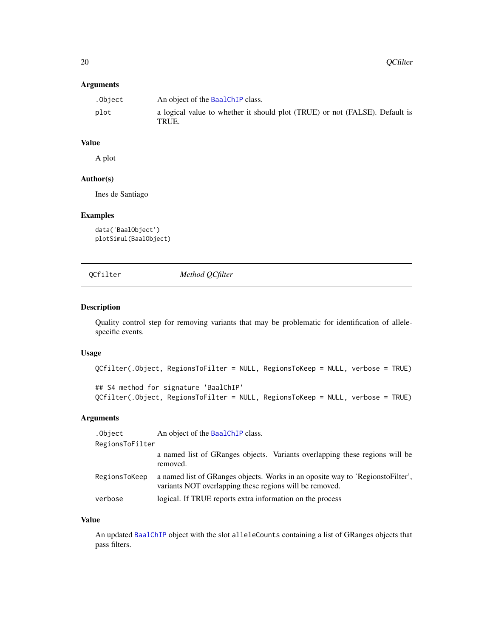# <span id="page-19-0"></span>Arguments

| .Obiect | An object of the BaalChIP class.                                                     |
|---------|--------------------------------------------------------------------------------------|
| plot    | a logical value to whether it should plot (TRUE) or not (FALSE). Default is<br>TRUE. |

# Value

A plot

# Author(s)

Ines de Santiago

# Examples

data('BaalObject') plotSimul(BaalObject)

<span id="page-19-1"></span>QCfilter *Method QCfilter*

# Description

Quality control step for removing variants that may be problematic for identification of allelespecific events.

# Usage

```
QCfilter(.Object, RegionsToFilter = NULL, RegionsToKeep = NULL, verbose = TRUE)
## S4 method for signature 'BaalChIP'
QCfilter(.Object, RegionsToFilter = NULL, RegionsToKeep = NULL, verbose = TRUE)
```
#### Arguments

| .Object         | An object of the BaalChIP class.                                                                                                          |
|-----------------|-------------------------------------------------------------------------------------------------------------------------------------------|
| RegionsToFilter |                                                                                                                                           |
|                 | a named list of GRanges objects. Variants overlapping these regions will be<br>removed.                                                   |
| RegionsToKeep   | a named list of GRanges objects. Works in an oposite way to 'RegionstoFilter',<br>variants NOT overlapping these regions will be removed. |
| verbose         | logical. If TRUE reports extra information on the process                                                                                 |

# Value

An updated [BaalChIP](#page-3-1) object with the slot alleleCounts containing a list of GRanges objects that pass filters.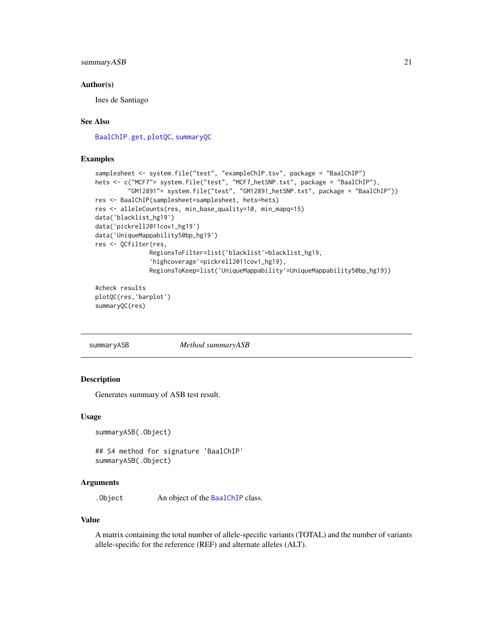# <span id="page-20-0"></span>summaryASB 21

# Author(s)

Ines de Santiago

# See Also

[BaalChIP.get](#page-5-1), [plotQC](#page-17-1), [summaryQC](#page-21-1)

#### Examples

```
samplesheet <- system.file("test", "exampleChIP.tsv", package = "BaalChIP")
hets <- c("MCF7"= system.file("test", "MCF7_hetSNP.txt", package = "BaalChIP"),
         "GM12891"= system.file("test", "GM12891_hetSNP.txt", package = "BaalChIP"))
res <- BaalChIP(samplesheet=samplesheet, hets=hets)
res <- alleleCounts(res, min_base_quality=10, min_mapq=15)
data('blacklist_hg19')
data('pickrell2011cov1_hg19')
data('UniqueMappability50bp_hg19')
res <- QCfilter(res,
               RegionsToFilter=list('blacklist'=blacklist_hg19,
               'highcoverage'=pickrell2011cov1_hg19),
              RegionsToKeep=list('UniqueMappability'=UniqueMappability50bp_hg19))
#check results
```
plotQC(res,'barplot') summaryQC(res)

<span id="page-20-1"></span>summaryASB *Method summaryASB*

### Description

Generates summary of ASB test result.

#### Usage

summaryASB(.Object)

## S4 method for signature 'BaalChIP' summaryASB(.Object)

# Arguments

.Object An object of the [BaalChIP](#page-3-1) class.

#### Value

A matrix containing the total number of allele-specific variants (TOTAL) and the number of variants allele-specific for the reference (REF) and alternate alleles (ALT).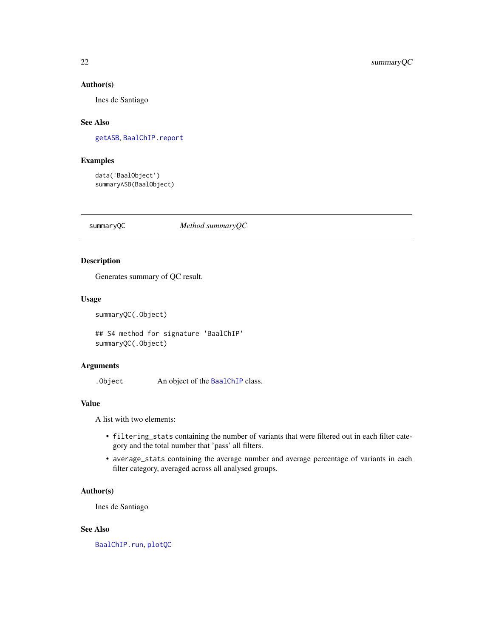#### <span id="page-21-0"></span>Author(s)

Ines de Santiago

# See Also

[getASB](#page-14-1), [BaalChIP.report](#page-6-1)

# Examples

data('BaalObject') summaryASB(BaalObject)

<span id="page-21-1"></span>summaryQC *Method summaryQC*

# Description

Generates summary of QC result.

#### Usage

```
summaryQC(.Object)
```
## S4 method for signature 'BaalChIP' summaryQC(.Object)

# Arguments

.Object An object of the [BaalChIP](#page-3-1) class.

# Value

A list with two elements:

- filtering\_stats containing the number of variants that were filtered out in each filter category and the total number that 'pass' all filters.
- average\_stats containing the average number and average percentage of variants in each filter category, averaged across all analysed groups.

# Author(s)

Ines de Santiago

### See Also

[BaalChIP.run](#page-8-1), [plotQC](#page-17-1)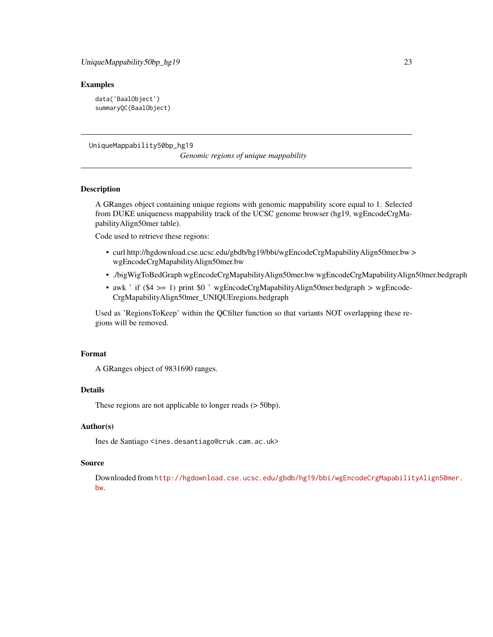# <span id="page-22-0"></span>Examples

```
data('BaalObject')
summaryQC(BaalObject)
```
UniqueMappability50bp\_hg19

*Genomic regions of unique mappability*

# Description

A GRanges object containing unique regions with genomic mappability score equal to 1. Selected from DUKE uniqueness mappability track of the UCSC genome browser (hg19, wgEncodeCrgMapabilityAlign50mer table).

Code used to retrieve these regions:

- curl http://hgdownload.cse.ucsc.edu/gbdb/hg19/bbi/wgEncodeCrgMapabilityAlign50mer.bw > wgEncodeCrgMapabilityAlign50mer.bw
- ./bigWigToBedGraph wgEncodeCrgMapabilityAlign50mer.bw wgEncodeCrgMapabilityAlign50mer.bedgraph
- awk ' if (\$4 >= 1) print \$0 ' wgEncodeCrgMapabilityAlign50mer.bedgraph > wgEncode-CrgMapabilityAlign50mer\_UNIQUEregions.bedgraph

Used as 'RegionsToKeep' within the QCfilter function so that variants NOT overlapping these regions will be removed.

# Format

A GRanges object of 9831690 ranges.

# Details

These regions are not applicable to longer reads (> 50bp).

#### Author(s)

Ines de Santiago <ines.desantiago@cruk.cam.ac.uk>

# Source

Downloaded from [http://hgdownload.cse.ucsc.edu/gbdb/hg19/bbi/wgEncodeCrgMapabilit](http://hgdownload.cse.ucsc.edu/gbdb/hg19/bbi/wgEncodeCrgMapabilityAlign50mer.bw)yAlign50mer. [bw](http://hgdownload.cse.ucsc.edu/gbdb/hg19/bbi/wgEncodeCrgMapabilityAlign50mer.bw).